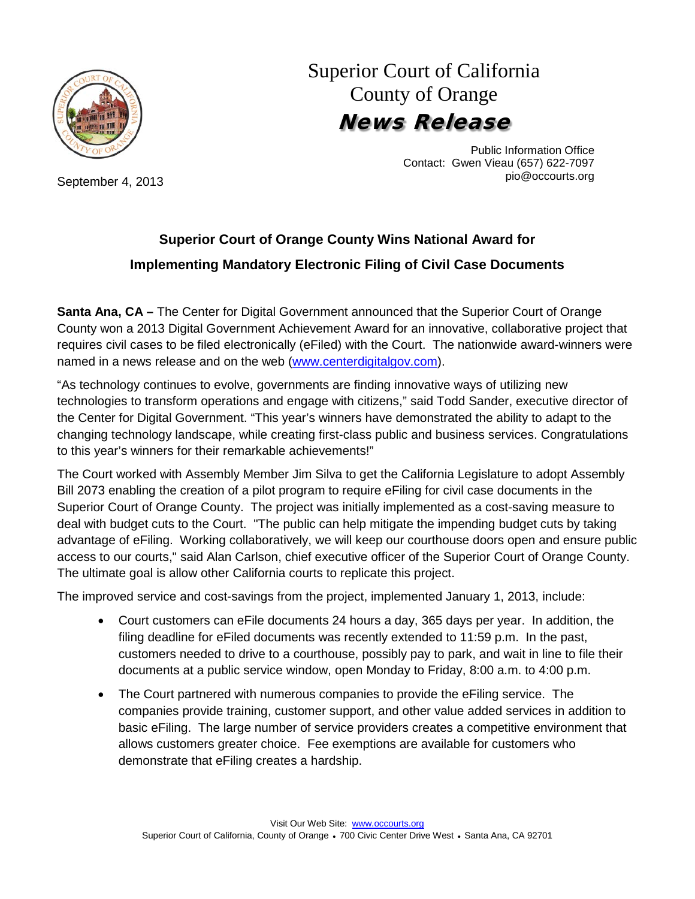

September 4, 2013

## Superior Court of California County of Orange News Release

Public Information Office Contact: Gwen Vieau (657) 622-7097 pio@occourts.org

## **Superior Court of Orange County Wins National Award for Implementing Mandatory Electronic Filing of Civil Case Documents**

**Santa Ana, CA –** The Center for Digital Government announced that the Superior Court of Orange County won a 2013 Digital Government Achievement Award for an innovative, collaborative project that requires civil cases to be filed electronically (eFiled) with the Court. The nationwide award-winners were named in a news release and on the web [\(www.centerdigitalgov.com\)](http://www.centerdigitalgov.com/).

"As technology continues to evolve, governments are finding innovative ways of utilizing new technologies to transform operations and engage with citizens," said Todd Sander, executive director of the Center for Digital Government. "This year's winners have demonstrated the ability to adapt to the changing technology landscape, while creating first-class public and business services. Congratulations to this year's winners for their remarkable achievements!"

The Court worked with Assembly Member Jim Silva to get the California Legislature to adopt Assembly Bill 2073 enabling the creation of a pilot program to require eFiling for civil case documents in the Superior Court of Orange County. The project was initially implemented as a cost-saving measure to deal with budget cuts to the Court. "The public can help mitigate the impending budget cuts by taking advantage of eFiling. Working collaboratively, we will keep our courthouse doors open and ensure public access to our courts," said Alan Carlson, chief executive officer of the Superior Court of Orange County. The ultimate goal is allow other California courts to replicate this project.

The improved service and cost-savings from the project, implemented January 1, 2013, include:

- Court customers can eFile documents 24 hours a day, 365 days per year. In addition, the filing deadline for eFiled documents was recently extended to 11:59 p.m. In the past, customers needed to drive to a courthouse, possibly pay to park, and wait in line to file their documents at a public service window, open Monday to Friday, 8:00 a.m. to 4:00 p.m.
- The Court partnered with numerous companies to provide the eFiling service. The companies provide training, customer support, and other value added services in addition to basic eFiling. The large number of service providers creates a competitive environment that allows customers greater choice. Fee exemptions are available for customers who demonstrate that eFiling creates a hardship.